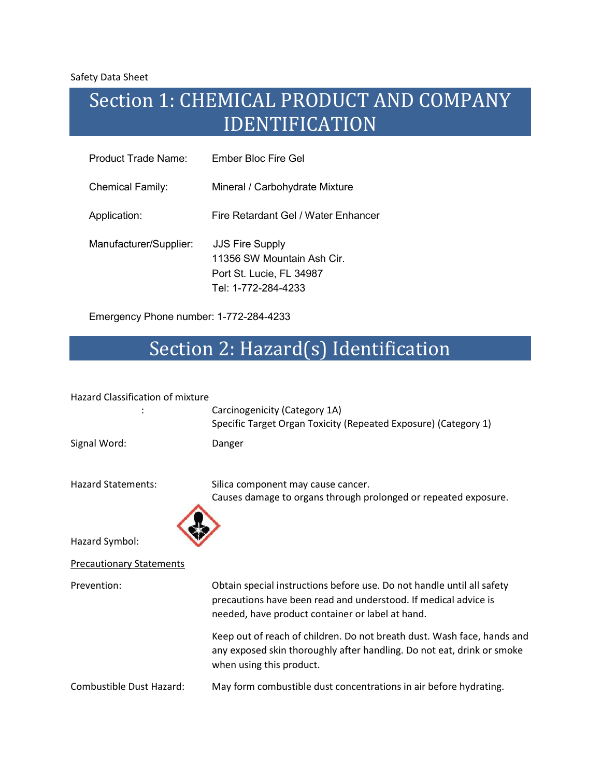Safety Data Sheet

## Section 1: CHEMICAL PRODUCT AND COMPANY IDENTIFICATION

| Product Trade Name:     | Ember Bloc Fire Gel                                                                                     |
|-------------------------|---------------------------------------------------------------------------------------------------------|
| <b>Chemical Family:</b> | Mineral / Carbohydrate Mixture                                                                          |
| Application:            | Fire Retardant Gel / Water Enhancer                                                                     |
| Manufacturer/Supplier:  | <b>JJS Fire Supply</b><br>11356 SW Mountain Ash Cir.<br>Port St. Lucie, FL 34987<br>Tel: 1-772-284-4233 |

Emergency Phone number: 1-772-284-4233

## Section 2: Hazard(s) Identification

| <b>Hazard Classification of mixture</b> |                                                                                                                                                                                               |
|-----------------------------------------|-----------------------------------------------------------------------------------------------------------------------------------------------------------------------------------------------|
|                                         | Carcinogenicity (Category 1A)<br>Specific Target Organ Toxicity (Repeated Exposure) (Category 1)                                                                                              |
| Signal Word:                            | Danger                                                                                                                                                                                        |
| <b>Hazard Statements:</b>               | Silica component may cause cancer.<br>Causes damage to organs through prolonged or repeated exposure.                                                                                         |
| Hazard Symbol:                          |                                                                                                                                                                                               |
| <b>Precautionary Statements</b>         |                                                                                                                                                                                               |
| Prevention:                             | Obtain special instructions before use. Do not handle until all safety<br>precautions have been read and understood. If medical advice is<br>needed, have product container or label at hand. |
|                                         | Keep out of reach of children. Do not breath dust. Wash face, hands and<br>any exposed skin thoroughly after handling. Do not eat, drink or smoke<br>when using this product.                 |
| Combustible Dust Hazard:                | May form combustible dust concentrations in air before hydrating.                                                                                                                             |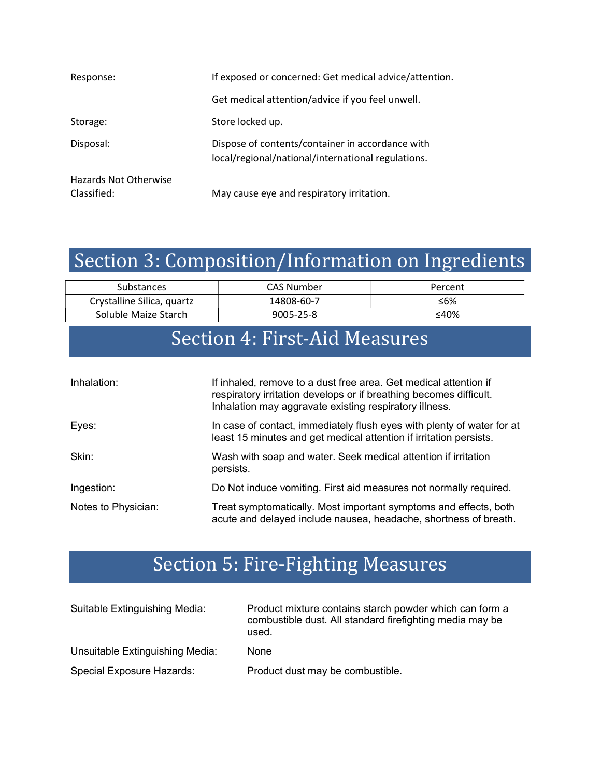| Response:                            | If exposed or concerned: Get medical advice/attention.                                                 |  |
|--------------------------------------|--------------------------------------------------------------------------------------------------------|--|
|                                      | Get medical attention/advice if you feel unwell.                                                       |  |
| Storage:                             | Store locked up.                                                                                       |  |
| Disposal:                            | Dispose of contents/container in accordance with<br>local/regional/national/international regulations. |  |
| Hazards Not Otherwise<br>Classified: | May cause eye and respiratory irritation.                                                              |  |

# Section 3: Composition/Information on Ingredients

| <b>Substances</b>          | CAS Number | Percent |
|----------------------------|------------|---------|
| Crystalline Silica, quartz | 14808-60-7 | ≤6%     |
| Soluble Maize Starch       | 9005-25-8  | ≤40%    |

## Section 4: First-Aid Measures

| Inhalation:         | If inhaled, remove to a dust free area. Get medical attention if<br>respiratory irritation develops or if breathing becomes difficult.<br>Inhalation may aggravate existing respiratory illness. |
|---------------------|--------------------------------------------------------------------------------------------------------------------------------------------------------------------------------------------------|
| Eyes:               | In case of contact, immediately flush eyes with plenty of water for at<br>least 15 minutes and get medical attention if irritation persists.                                                     |
| Skin:               | Wash with soap and water. Seek medical attention if irritation<br>persists.                                                                                                                      |
| Ingestion:          | Do Not induce vomiting. First aid measures not normally required.                                                                                                                                |
| Notes to Physician: | Treat symptomatically. Most important symptoms and effects, both<br>acute and delayed include nausea, headache, shortness of breath.                                                             |

# Section 5: Fire-Fighting Measures

| Suitable Extinguishing Media:   | Product mixture contains starch powder which can form a<br>combustible dust. All standard firefighting media may be<br>used. |
|---------------------------------|------------------------------------------------------------------------------------------------------------------------------|
| Unsuitable Extinguishing Media: | None                                                                                                                         |
| Special Exposure Hazards:       | Product dust may be combustible.                                                                                             |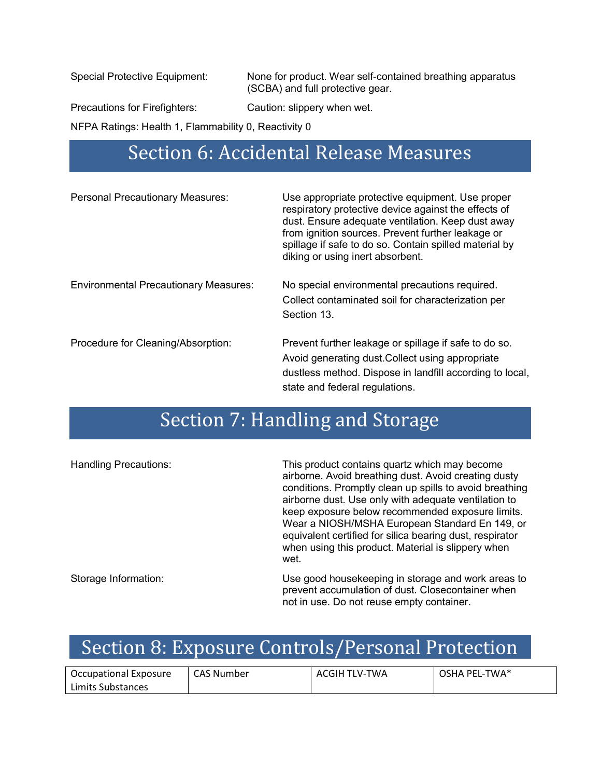Special Protective Equipment: None for product. Wear self-contained breathing apparatus (SCBA) and full protective gear.

Precautions for Firefighters: Caution: slippery when wet.

NFPA Ratings: Health 1, Flammability 0, Reactivity 0

### Section 6: Accidental Release Measures

| <b>Personal Precautionary Measures:</b>      | Use appropriate protective equipment. Use proper<br>respiratory protective device against the effects of<br>dust. Ensure adequate ventilation. Keep dust away<br>from ignition sources. Prevent further leakage or<br>spillage if safe to do so. Contain spilled material by<br>diking or using inert absorbent. |
|----------------------------------------------|------------------------------------------------------------------------------------------------------------------------------------------------------------------------------------------------------------------------------------------------------------------------------------------------------------------|
| <b>Environmental Precautionary Measures:</b> | No special environmental precautions required.<br>Collect contaminated soil for characterization per<br>Section 13.                                                                                                                                                                                              |
| Procedure for Cleaning/Absorption:           | Prevent further leakage or spillage if safe to do so.<br>Avoid generating dust. Collect using appropriate<br>dustless method. Dispose in landfill according to local,<br>state and federal regulations.                                                                                                          |

## Section 7: Handling and Storage

| <b>Handling Precautions:</b> | This product contains quartz which may become<br>airborne. Avoid breathing dust. Avoid creating dusty<br>conditions. Promptly clean up spills to avoid breathing<br>airborne dust. Use only with adequate ventilation to<br>keep exposure below recommended exposure limits.<br>Wear a NIOSH/MSHA European Standard En 149, or<br>equivalent certified for silica bearing dust, respirator<br>when using this product. Material is slippery when<br>wet. |
|------------------------------|----------------------------------------------------------------------------------------------------------------------------------------------------------------------------------------------------------------------------------------------------------------------------------------------------------------------------------------------------------------------------------------------------------------------------------------------------------|
| Storage Information:         | Use good housekeeping in storage and work areas to<br>prevent accumulation of dust. Closecontainer when<br>not in use. Do not reuse empty container.                                                                                                                                                                                                                                                                                                     |

### Section 8: Exposure Controls/Personal Protection

| Occupational Exposure | <b>CAS Number</b> | ACGIH TLV-TWA | OSHA PEL-TWA* |
|-----------------------|-------------------|---------------|---------------|
| Limits Substances     |                   |               |               |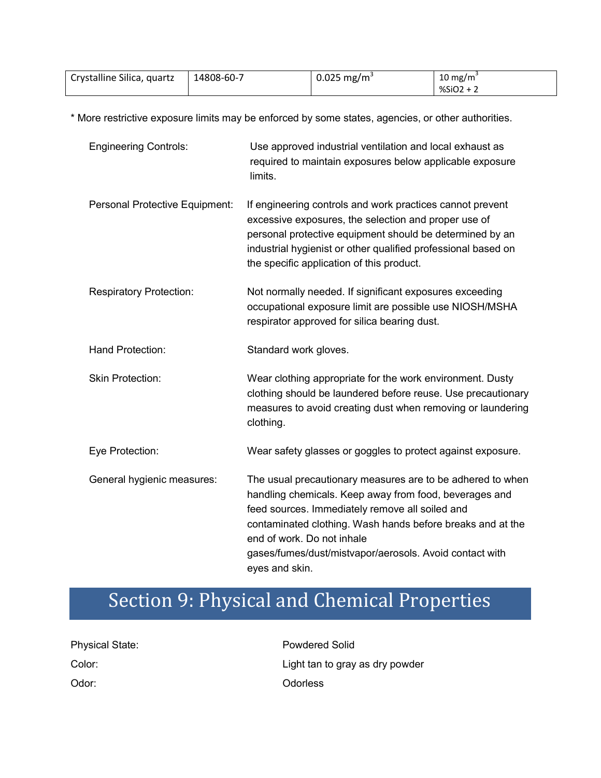| Crystalline Silica, quartz | 14808-60-7 | 0.025 mg/m <sup>3</sup> | $10 \text{ mg/m}$ |
|----------------------------|------------|-------------------------|-------------------|
|                            |            |                         | %SiO2 + 2         |

\* More restrictive exposure limits may be enforced by some states, agencies, or other authorities.

| <b>Engineering Controls:</b>   | Use approved industrial ventilation and local exhaust as<br>required to maintain exposures below applicable exposure<br>limits.                                                                                                                                                                                                                  |
|--------------------------------|--------------------------------------------------------------------------------------------------------------------------------------------------------------------------------------------------------------------------------------------------------------------------------------------------------------------------------------------------|
| Personal Protective Equipment: | If engineering controls and work practices cannot prevent<br>excessive exposures, the selection and proper use of<br>personal protective equipment should be determined by an<br>industrial hygienist or other qualified professional based on<br>the specific application of this product.                                                      |
| <b>Respiratory Protection:</b> | Not normally needed. If significant exposures exceeding<br>occupational exposure limit are possible use NIOSH/MSHA<br>respirator approved for silica bearing dust.                                                                                                                                                                               |
| Hand Protection:               | Standard work gloves.                                                                                                                                                                                                                                                                                                                            |
| <b>Skin Protection:</b>        | Wear clothing appropriate for the work environment. Dusty<br>clothing should be laundered before reuse. Use precautionary<br>measures to avoid creating dust when removing or laundering<br>clothing.                                                                                                                                            |
| Eye Protection:                | Wear safety glasses or goggles to protect against exposure.                                                                                                                                                                                                                                                                                      |
| General hygienic measures:     | The usual precautionary measures are to be adhered to when<br>handling chemicals. Keep away from food, beverages and<br>feed sources. Immediately remove all soiled and<br>contaminated clothing. Wash hands before breaks and at the<br>end of work. Do not inhale<br>gases/fumes/dust/mistvapor/aerosols. Avoid contact with<br>eyes and skin. |

# Section 9: Physical and Chemical Properties

| <b>Physical State:</b> | <b>Powdered Solid</b>           |
|------------------------|---------------------------------|
| Color:                 | Light tan to gray as dry powder |
| Odor:                  | <b>Odorless</b>                 |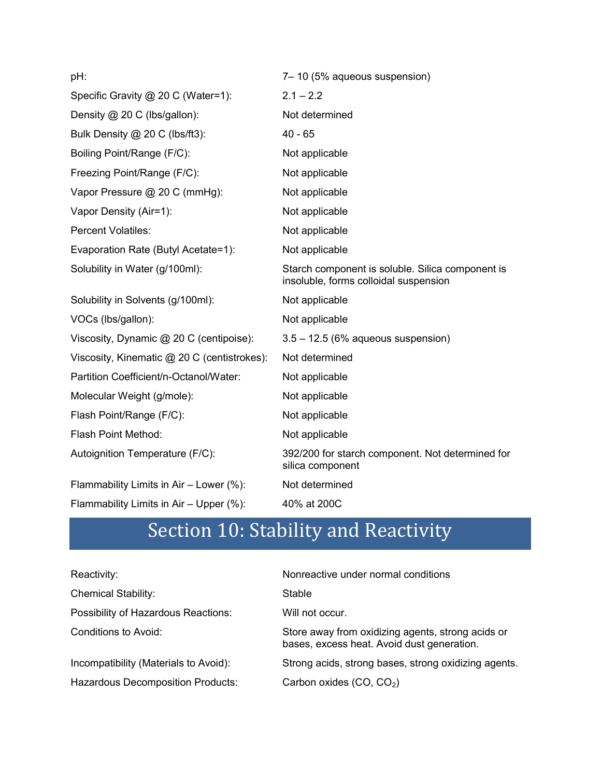| pH:                                         | 7-10 (5% aqueous suspension)                                                              |
|---------------------------------------------|-------------------------------------------------------------------------------------------|
| Specific Gravity @ 20 C (Water=1):          | $2.1 - 2.2$                                                                               |
| Density @ 20 C (lbs/gallon):                | Not determined                                                                            |
| Bulk Density @ 20 C (lbs/ft3):              | $40 - 65$                                                                                 |
| Boiling Point/Range (F/C):                  | Not applicable                                                                            |
| Freezing Point/Range (F/C):                 | Not applicable                                                                            |
| Vapor Pressure @ 20 C (mmHg):               | Not applicable                                                                            |
| Vapor Density (Air=1):                      | Not applicable                                                                            |
| <b>Percent Volatiles:</b>                   | Not applicable                                                                            |
| Evaporation Rate (Butyl Acetate=1):         | Not applicable                                                                            |
| Solubility in Water (g/100ml):              | Starch component is soluble. Silica component is<br>insoluble, forms colloidal suspension |
| Solubility in Solvents (g/100ml):           | Not applicable                                                                            |
| VOCs (lbs/gallon):                          | Not applicable                                                                            |
| Viscosity, Dynamic @ 20 C (centipoise):     | $3.5 - 12.5$ (6% aqueous suspension)                                                      |
| Viscosity, Kinematic @ 20 C (centistrokes): | Not determined                                                                            |
| Partition Coefficient/n-Octanol/Water:      | Not applicable                                                                            |
| Molecular Weight (g/mole):                  | Not applicable                                                                            |
| Flash Point/Range (F/C):                    | Not applicable                                                                            |
| Flash Point Method:                         | Not applicable                                                                            |
| Autoignition Temperature (F/C):             | 392/200 for starch component. Not determined for<br>silica component                      |
| Flammability Limits in Air - Lower (%):     | Not determined                                                                            |
| Flammability Limits in Air - Upper (%):     | 40% at 200C                                                                               |

# Section 10: Stability and Reactivity

| Reactivity:                              | Nonreactive under normal conditions                                                             |
|------------------------------------------|-------------------------------------------------------------------------------------------------|
| <b>Chemical Stability:</b>               | Stable                                                                                          |
| Possibility of Hazardous Reactions:      | Will not occur.                                                                                 |
| Conditions to Avoid:                     | Store away from oxidizing agents, strong acids or<br>bases, excess heat. Avoid dust generation. |
| Incompatibility (Materials to Avoid):    | Strong acids, strong bases, strong oxidizing agents.                                            |
| <b>Hazardous Decomposition Products:</b> | Carbon oxides $(CO, CO2)$                                                                       |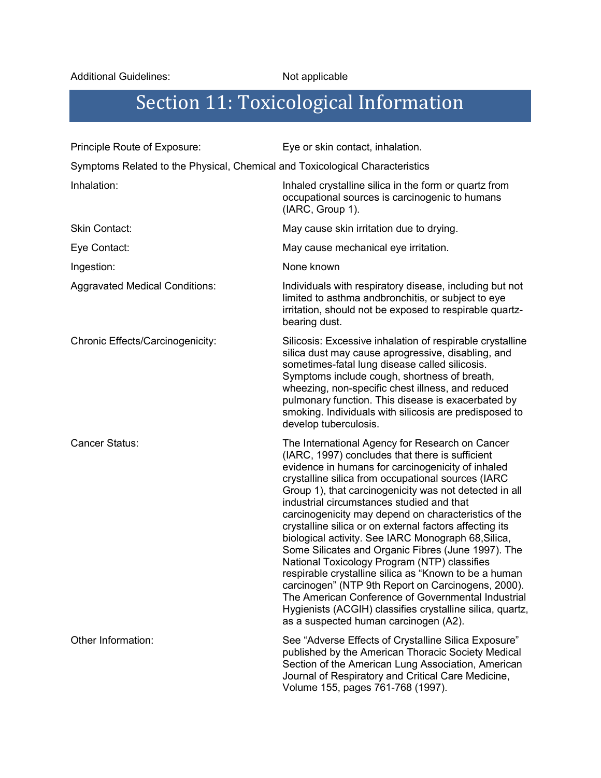# Section 11: Toxicological Information

| Principle Route of Exposure:                                                 | Eye or skin contact, inhalation.                                                                                                                                                                                                                                                                                                                                                                                                                                                                                                                                                                                                                                                                                                                                                                                                                                                |  |
|------------------------------------------------------------------------------|---------------------------------------------------------------------------------------------------------------------------------------------------------------------------------------------------------------------------------------------------------------------------------------------------------------------------------------------------------------------------------------------------------------------------------------------------------------------------------------------------------------------------------------------------------------------------------------------------------------------------------------------------------------------------------------------------------------------------------------------------------------------------------------------------------------------------------------------------------------------------------|--|
| Symptoms Related to the Physical, Chemical and Toxicological Characteristics |                                                                                                                                                                                                                                                                                                                                                                                                                                                                                                                                                                                                                                                                                                                                                                                                                                                                                 |  |
| Inhalation:                                                                  | Inhaled crystalline silica in the form or quartz from<br>occupational sources is carcinogenic to humans<br>(IARC, Group 1).                                                                                                                                                                                                                                                                                                                                                                                                                                                                                                                                                                                                                                                                                                                                                     |  |
| <b>Skin Contact:</b>                                                         | May cause skin irritation due to drying.                                                                                                                                                                                                                                                                                                                                                                                                                                                                                                                                                                                                                                                                                                                                                                                                                                        |  |
| Eye Contact:                                                                 | May cause mechanical eye irritation.                                                                                                                                                                                                                                                                                                                                                                                                                                                                                                                                                                                                                                                                                                                                                                                                                                            |  |
| Ingestion:                                                                   | None known                                                                                                                                                                                                                                                                                                                                                                                                                                                                                                                                                                                                                                                                                                                                                                                                                                                                      |  |
| <b>Aggravated Medical Conditions:</b>                                        | Individuals with respiratory disease, including but not<br>limited to asthma andbronchitis, or subject to eye<br>irritation, should not be exposed to respirable quartz-<br>bearing dust.                                                                                                                                                                                                                                                                                                                                                                                                                                                                                                                                                                                                                                                                                       |  |
| Chronic Effects/Carcinogenicity:                                             | Silicosis: Excessive inhalation of respirable crystalline<br>silica dust may cause aprogressive, disabling, and<br>sometimes-fatal lung disease called silicosis.<br>Symptoms include cough, shortness of breath,<br>wheezing, non-specific chest illness, and reduced<br>pulmonary function. This disease is exacerbated by<br>smoking. Individuals with silicosis are predisposed to<br>develop tuberculosis.                                                                                                                                                                                                                                                                                                                                                                                                                                                                 |  |
| <b>Cancer Status:</b>                                                        | The International Agency for Research on Cancer<br>(IARC, 1997) concludes that there is sufficient<br>evidence in humans for carcinogenicity of inhaled<br>crystalline silica from occupational sources (IARC<br>Group 1), that carcinogenicity was not detected in all<br>industrial circumstances studied and that<br>carcinogenicity may depend on characteristics of the<br>crystalline silica or on external factors affecting its<br>biological activity. See IARC Monograph 68, Silica,<br>Some Silicates and Organic Fibres (June 1997). The<br>National Toxicology Program (NTP) classifies<br>respirable crystalline silica as "Known to be a human<br>carcinogen" (NTP 9th Report on Carcinogens, 2000).<br>The American Conference of Governmental Industrial<br>Hygienists (ACGIH) classifies crystalline silica, quartz,<br>as a suspected human carcinogen (A2). |  |
| Other Information:                                                           | See "Adverse Effects of Crystalline Silica Exposure"<br>published by the American Thoracic Society Medical<br>Section of the American Lung Association, American<br>Journal of Respiratory and Critical Care Medicine,<br>Volume 155, pages 761-768 (1997).                                                                                                                                                                                                                                                                                                                                                                                                                                                                                                                                                                                                                     |  |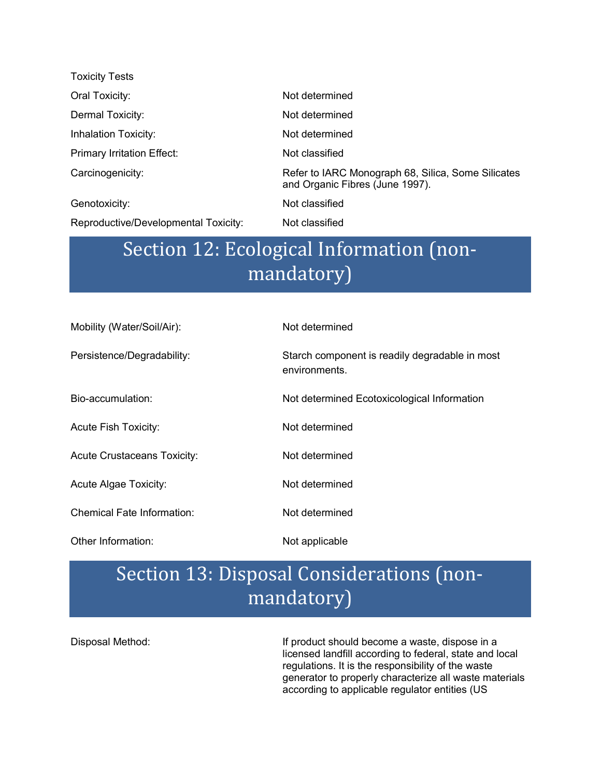| <b>Toxicity Tests</b>                |                                                                                       |
|--------------------------------------|---------------------------------------------------------------------------------------|
| Oral Toxicity:                       | Not determined                                                                        |
| Dermal Toxicity:                     | Not determined                                                                        |
| <b>Inhalation Toxicity:</b>          | Not determined                                                                        |
| <b>Primary Irritation Effect:</b>    | Not classified                                                                        |
| Carcinogenicity:                     | Refer to IARC Monograph 68, Silica, Some Silicates<br>and Organic Fibres (June 1997). |
| Genotoxicity:                        | Not classified                                                                        |
| Reproductive/Developmental Toxicity: | Not classified                                                                        |

### Section 12: Ecological Information (nonmandatory)

| Mobility (Water/Soil/Air):         | Not determined                                                  |
|------------------------------------|-----------------------------------------------------------------|
| Persistence/Degradability:         | Starch component is readily degradable in most<br>environments. |
| Bio-accumulation:                  | Not determined Ecotoxicological Information                     |
| <b>Acute Fish Toxicity:</b>        | Not determined                                                  |
| <b>Acute Crustaceans Toxicity:</b> | Not determined                                                  |
| <b>Acute Algae Toxicity:</b>       | Not determined                                                  |
| Chemical Fate Information:         | Not determined                                                  |
| Other Information:                 | Not applicable                                                  |

### Section 13: Disposal Considerations (nonmandatory)

Disposal Method: If product should become a waste, dispose in a licensed landfill according to federal, state and local regulations. It is the responsibility of the waste generator to properly characterize all waste materials according to applicable regulator entities (US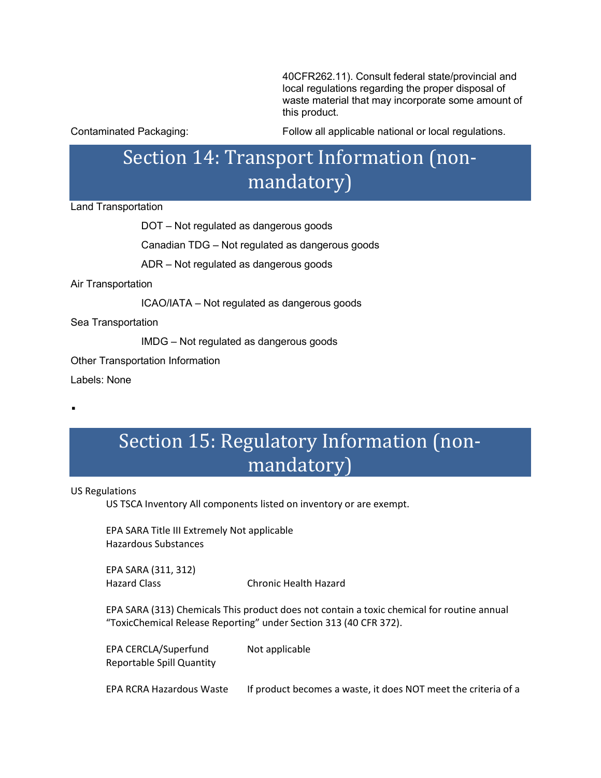40CFR262.11). Consult federal state/provincial and local regulations regarding the proper disposal of waste material that may incorporate some amount of this product.

Contaminated Packaging: Follow all applicable national or local regulations.

### Section 14: Transport Information (nonmandatory)

Land Transportation

DOT – Not regulated as dangerous goods

Canadian TDG – Not regulated as dangerous goods

ADR – Not regulated as dangerous goods

Air Transportation

ICAO/IATA – Not regulated as dangerous goods

Sea Transportation

IMDG – Not regulated as dangerous goods

Other Transportation Information

Labels: None

۰

### Section 15: Regulatory Information (nonmandatory)

US Regulations

US TSCA Inventory All components listed on inventory or are exempt.

EPA SARA Title III Extremely Not applicable Hazardous Substances

EPA SARA (311, 312) Hazard Class Chronic Health Hazard

EPA SARA (313) Chemicals This product does not contain a toxic chemical for routine annual "ToxicChemical Release Reporting" under Section 313 (40 CFR 372).

| EPA CERCLA/Superfund      | Not applicable |
|---------------------------|----------------|
| Reportable Spill Quantity |                |

EPA RCRA Hazardous Waste If product becomes a waste, it does NOT meet the criteria of a